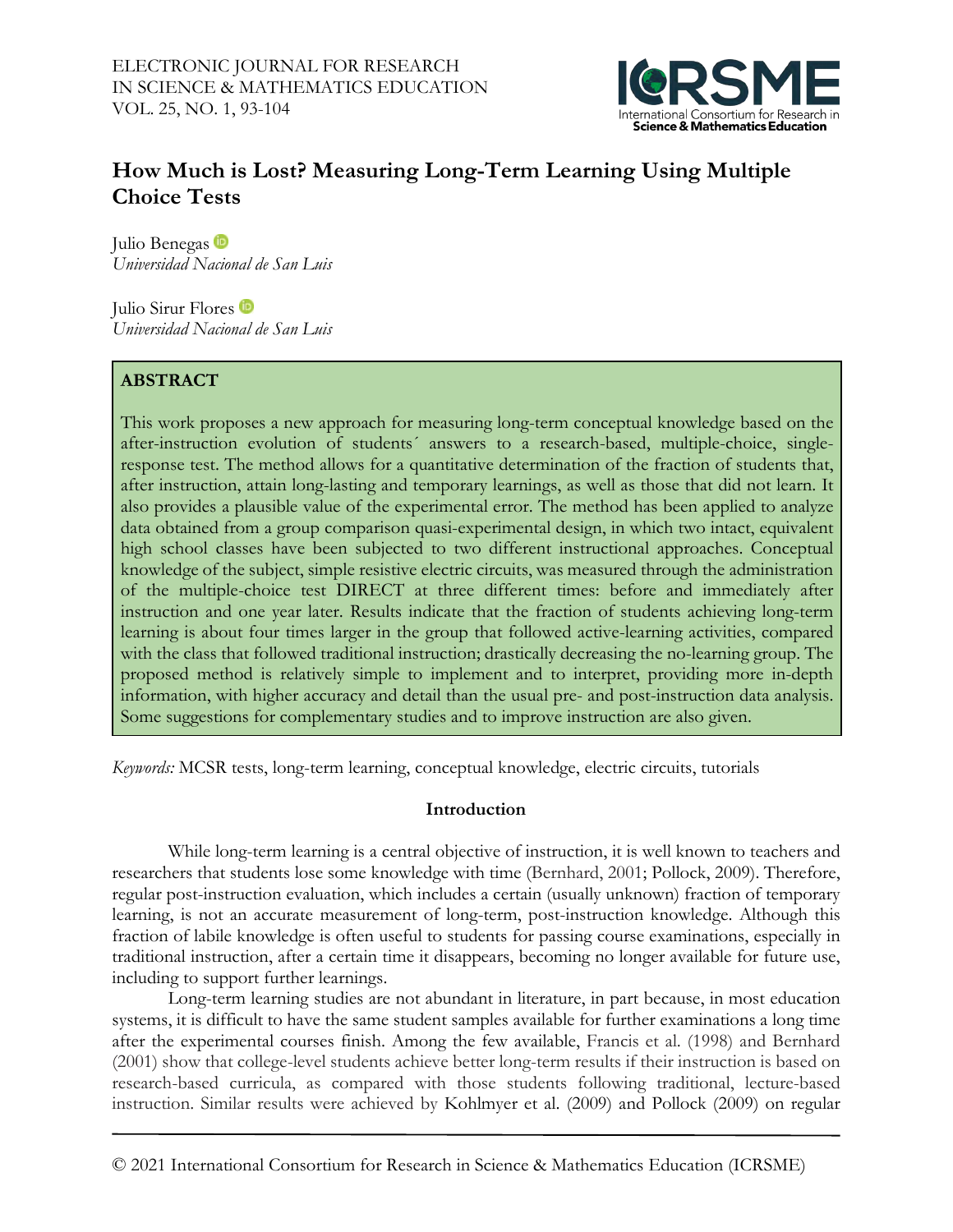

# **How Much is Lost? Measuring Long-Term Learning Using Multiple Choice Tests**

Julio Benegas *Universidad Nacional de San Luis*

Julio Sirur Flores *Universidad Nacional de San Luis*

## **ABSTRACT**

This work proposes a new approach for measuring long-term conceptual knowledge based on the after-instruction evolution of students´ answers to a research-based, multiple-choice, singleresponse test. The method allows for a quantitative determination of the fraction of students that, after instruction, attain long-lasting and temporary learnings, as well as those that did not learn. It also provides a plausible value of the experimental error. The method has been applied to analyze data obtained from a group comparison quasi-experimental design, in which two intact, equivalent high school classes have been subjected to two different instructional approaches. Conceptual knowledge of the subject, simple resistive electric circuits, was measured through the administration of the multiple-choice test DIRECT at three different times: before and immediately after instruction and one year later. Results indicate that the fraction of students achieving long-term learning is about four times larger in the group that followed active-learning activities, compared with the class that followed traditional instruction; drastically decreasing the no-learning group. The proposed method is relatively simple to implement and to interpret, providing more in-depth information, with higher accuracy and detail than the usual pre- and post-instruction data analysis. Some suggestions for complementary studies and to improve instruction are also given.

*Keywords:* MCSR tests, long-term learning, conceptual knowledge, electric circuits, tutorials

## **Introduction**

 While long-term learning is a central objective of instruction, it is well known to teachers and researchers that students lose some knowledge with time (Bernhard, 2001; Pollock, 2009). Therefore, regular post-instruction evaluation, which includes a certain (usually unknown) fraction of temporary learning, is not an accurate measurement of long-term, post-instruction knowledge. Although this fraction of labile knowledge is often useful to students for passing course examinations, especially in traditional instruction, after a certain time it disappears, becoming no longer available for future use, including to support further learnings.

Long-term learning studies are not abundant in literature, in part because, in most education systems, it is difficult to have the same student samples available for further examinations a long time after the experimental courses finish. Among the few available, Francis et al. (1998) and Bernhard (2001) show that college-level students achieve better long-term results if their instruction is based on research-based curricula, as compared with those students following traditional, lecture-based instruction. Similar results were achieved by Kohlmyer et al. (2009) and Pollock (2009) on regular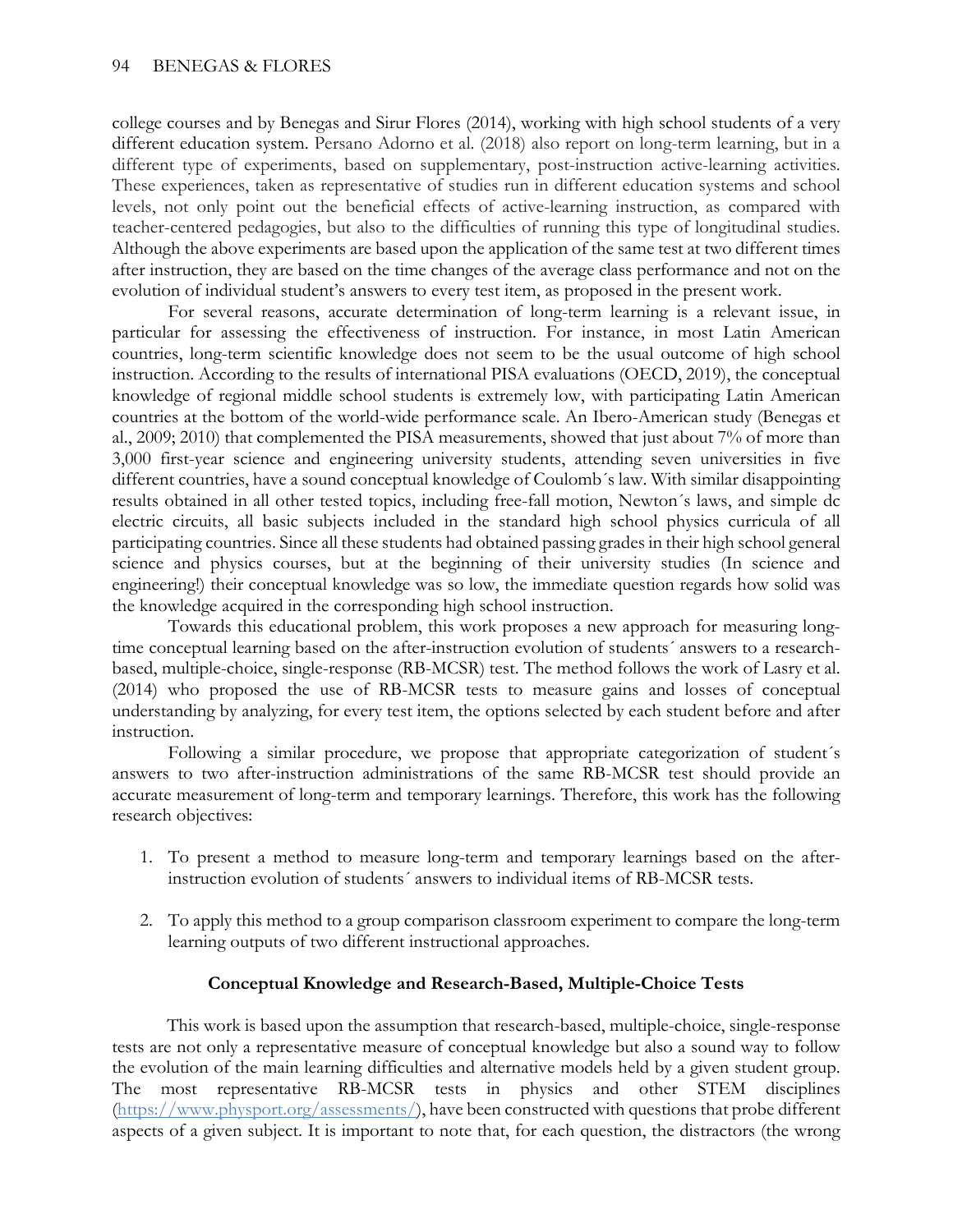college courses and by Benegas and Sirur Flores (2014), working with high school students of a very different education system. Persano Adorno et al. (2018) also report on long-term learning, but in a different type of experiments, based on supplementary, post-instruction active-learning activities. These experiences, taken as representative of studies run in different education systems and school levels, not only point out the beneficial effects of active-learning instruction, as compared with teacher-centered pedagogies, but also to the difficulties of running this type of longitudinal studies. Although the above experiments are based upon the application of the same test at two different times after instruction, they are based on the time changes of the average class performance and not on the evolution of individual student's answers to every test item, as proposed in the present work.

For several reasons, accurate determination of long-term learning is a relevant issue, in particular for assessing the effectiveness of instruction. For instance, in most Latin American countries, long-term scientific knowledge does not seem to be the usual outcome of high school instruction. According to the results of international PISA evaluations (OECD, 2019), the conceptual knowledge of regional middle school students is extremely low, with participating Latin American countries at the bottom of the world-wide performance scale. An Ibero-American study (Benegas et al., 2009; 2010) that complemented the PISA measurements, showed that just about 7% of more than 3,000 first-year science and engineering university students, attending seven universities in five different countries, have a sound conceptual knowledge of Coulomb´s law. With similar disappointing results obtained in all other tested topics, including free-fall motion, Newton´s laws, and simple dc electric circuits, all basic subjects included in the standard high school physics curricula of all participating countries. Since all these students had obtained passing grades in their high school general science and physics courses, but at the beginning of their university studies (In science and engineering!) their conceptual knowledge was so low, the immediate question regards how solid was the knowledge acquired in the corresponding high school instruction.

Towards this educational problem, this work proposes a new approach for measuring longtime conceptual learning based on the after-instruction evolution of students´ answers to a researchbased, multiple-choice, single-response (RB-MCSR) test. The method follows the work of Lasry et al. (2014) who proposed the use of RB-MCSR tests to measure gains and losses of conceptual understanding by analyzing, for every test item, the options selected by each student before and after instruction.

Following a similar procedure, we propose that appropriate categorization of student´s answers to two after-instruction administrations of the same RB-MCSR test should provide an accurate measurement of long-term and temporary learnings. Therefore, this work has the following research objectives:

- 1. To present a method to measure long-term and temporary learnings based on the afterinstruction evolution of students´ answers to individual items of RB-MCSR tests.
- 2. To apply this method to a group comparison classroom experiment to compare the long-term learning outputs of two different instructional approaches.

## **Conceptual Knowledge and Research-Based, Multiple-Choice Tests**

This work is based upon the assumption that research-based, multiple-choice, single-response tests are not only a representative measure of conceptual knowledge but also a sound way to follow the evolution of the main learning difficulties and alternative models held by a given student group. The most representative RB-MCSR tests in physics and other STEM disciplines [\(https://www.physport.org/assessments/\)](https://www.physport.org/assessments/), have been constructed with questions that probe different aspects of a given subject. It is important to note that, for each question, the distractors (the wrong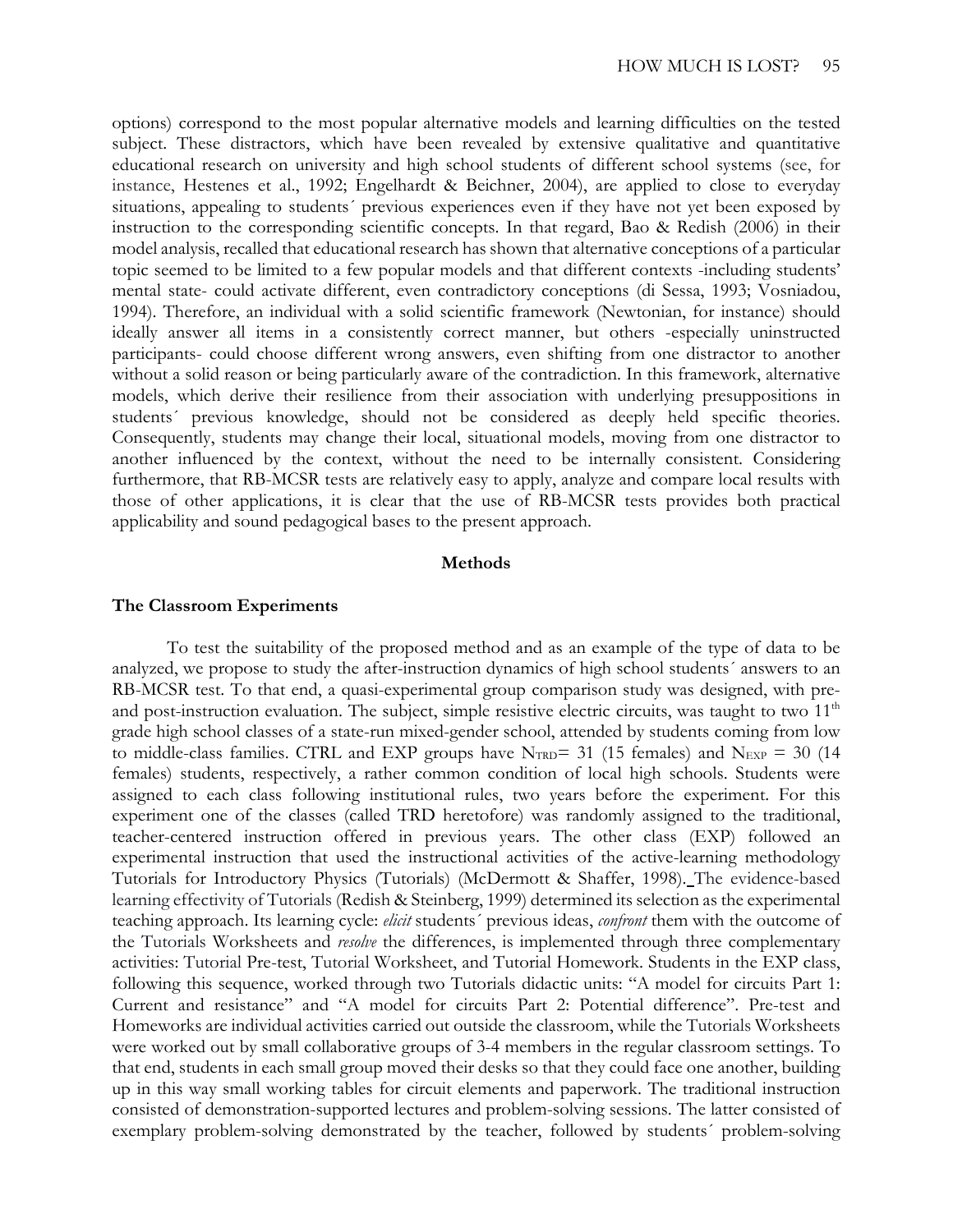options) correspond to the most popular alternative models and learning difficulties on the tested subject. These distractors, which have been revealed by extensive qualitative and quantitative educational research on university and high school students of different school systems (see, for instance, Hestenes et al., 1992; Engelhardt & Beichner, 2004), are applied to close to everyday situations, appealing to students´ previous experiences even if they have not yet been exposed by instruction to the corresponding scientific concepts. In that regard, Bao & Redish (2006) in their model analysis, recalled that educational research has shown that alternative conceptions of a particular topic seemed to be limited to a few popular models and that different contexts -including students' mental state- could activate different, even contradictory conceptions (di Sessa, 1993; Vosniadou, 1994). Therefore, an individual with a solid scientific framework (Newtonian, for instance) should ideally answer all items in a consistently correct manner, but others -especially uninstructed participants- could choose different wrong answers, even shifting from one distractor to another without a solid reason or being particularly aware of the contradiction. In this framework, alternative models, which derive their resilience from their association with underlying presuppositions in students´ previous knowledge, should not be considered as deeply held specific theories. Consequently, students may change their local, situational models, moving from one distractor to another influenced by the context, without the need to be internally consistent. Considering furthermore, that RB-MCSR tests are relatively easy to apply, analyze and compare local results with those of other applications, it is clear that the use of RB-MCSR tests provides both practical applicability and sound pedagogical bases to the present approach.

### **Methods**

#### **The Classroom Experiments**

To test the suitability of the proposed method and as an example of the type of data to be analyzed, we propose to study the after-instruction dynamics of high school students´ answers to an RB-MCSR test. To that end, a quasi-experimental group comparison study was designed, with preand post-instruction evaluation. The subject, simple resistive electric circuits, was taught to two  $11<sup>th</sup>$ grade high school classes of a state-run mixed-gender school, attended by students coming from low to middle-class families. CTRL and EXP groups have  $N_{TRD}$  = 31 (15 females) and  $N_{EXP}$  = 30 (14 females) students, respectively, a rather common condition of local high schools. Students were assigned to each class following institutional rules, two years before the experiment. For this experiment one of the classes (called TRD heretofore) was randomly assigned to the traditional, teacher-centered instruction offered in previous years. The other class (EXP) followed an experimental instruction that used the instructional activities of the active-learning methodology Tutorials for Introductory Physics (Tutorials) (McDermott & Shaffer, 1998). The evidence-based learning effectivity of Tutorials (Redish & Steinberg, 1999) determined its selection as the experimental teaching approach. Its learning cycle: *elicit* students´ previous ideas, *confront* them with the outcome of the Tutorials Worksheets and *resolve* the differences, is implemented through three complementary activities: Tutorial Pre-test, Tutorial Worksheet, and Tutorial Homework. Students in the EXP class, following this sequence, worked through two Tutorials didactic units: "A model for circuits Part 1: Current and resistance" and "A model for circuits Part 2: Potential difference". Pre-test and Homeworks are individual activities carried out outside the classroom, while the Tutorials Worksheets were worked out by small collaborative groups of 3-4 members in the regular classroom settings. To that end, students in each small group moved their desks so that they could face one another, building up in this way small working tables for circuit elements and paperwork. The traditional instruction consisted of demonstration-supported lectures and problem-solving sessions. The latter consisted of exemplary problem-solving demonstrated by the teacher, followed by students´ problem-solving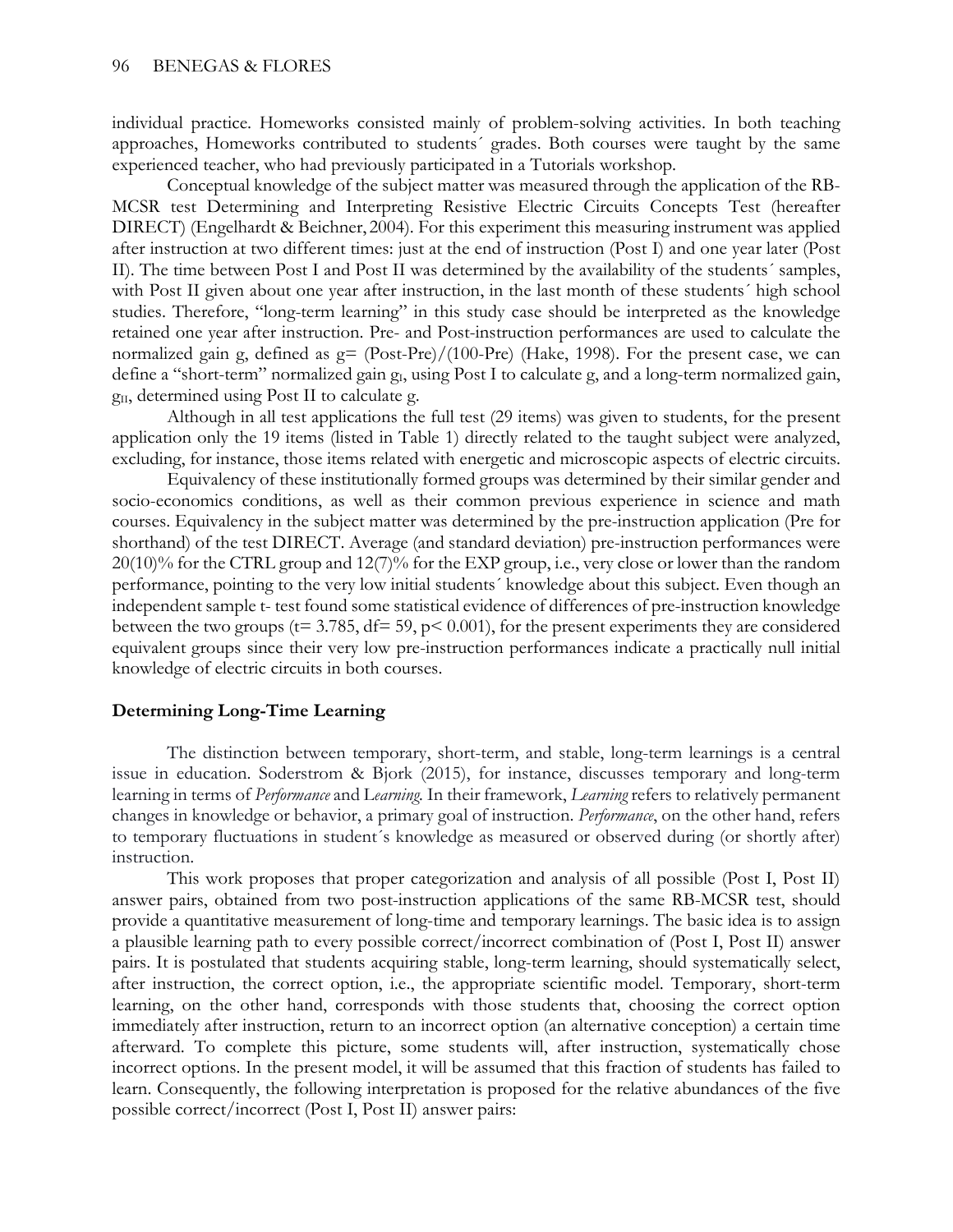individual practice. Homeworks consisted mainly of problem-solving activities. In both teaching approaches, Homeworks contributed to students´ grades. Both courses were taught by the same experienced teacher, who had previously participated in a Tutorials workshop.

Conceptual knowledge of the subject matter was measured through the application of the RB-MCSR test Determining and Interpreting Resistive Electric Circuits Concepts Test (hereafter DIRECT) (Engelhardt & Beichner, 2004). For this experiment this measuring instrument was applied after instruction at two different times: just at the end of instruction (Post I) and one year later (Post II). The time between Post I and Post II was determined by the availability of the students´ samples, with Post II given about one year after instruction, in the last month of these students' high school studies. Therefore, "long-term learning" in this study case should be interpreted as the knowledge retained one year after instruction. Pre- and Post-instruction performances are used to calculate the normalized gain g, defined as  $g = (Post-Pre)/(100-Pre)$  (Hake, 1998). For the present case, we can define a "short-term" normalized gain g<sub>I</sub>, using Post I to calculate g, and a long-term normalized gain, g<sub>II</sub>, determined using Post II to calculate g.

Although in all test applications the full test (29 items) was given to students, for the present application only the 19 items (listed in Table 1) directly related to the taught subject were analyzed, excluding, for instance, those items related with energetic and microscopic aspects of electric circuits.

Equivalency of these institutionally formed groups was determined by their similar gender and socio-economics conditions, as well as their common previous experience in science and math courses. Equivalency in the subject matter was determined by the pre-instruction application (Pre for shorthand) of the test DIRECT. Average (and standard deviation) pre-instruction performances were 20(10)% for the CTRL group and 12(7)% for the EXP group, i.e., very close or lower than the random performance, pointing to the very low initial students´ knowledge about this subject. Even though an independent sample t- test found some statistical evidence of differences of pre-instruction knowledge between the two groups ( $t= 3.785$ ,  $df= 59$ ,  $p< 0.001$ ), for the present experiments they are considered equivalent groups since their very low pre-instruction performances indicate a practically null initial knowledge of electric circuits in both courses.

## **Determining Long-Time Learning**

The distinction between temporary, short-term, and stable, long-term learnings is a central issue in education. Soderstrom & Bjork (2015), for instance, discusses temporary and long-term learning in terms of *Performance* and L*earning.* In their framework, *Learning* refers to relatively permanent changes in knowledge or behavior, a primary goal of instruction. *Performance*, on the other hand, refers to temporary fluctuations in student´s knowledge as measured or observed during (or shortly after) instruction.

This work proposes that proper categorization and analysis of all possible (Post I, Post II) answer pairs, obtained from two post-instruction applications of the same RB-MCSR test, should provide a quantitative measurement of long-time and temporary learnings. The basic idea is to assign a plausible learning path to every possible correct/incorrect combination of (Post I, Post II) answer pairs. It is postulated that students acquiring stable, long-term learning, should systematically select, after instruction, the correct option, i.e., the appropriate scientific model. Temporary, short-term learning, on the other hand, corresponds with those students that, choosing the correct option immediately after instruction, return to an incorrect option (an alternative conception) a certain time afterward. To complete this picture, some students will, after instruction, systematically chose incorrect options. In the present model, it will be assumed that this fraction of students has failed to learn. Consequently, the following interpretation is proposed for the relative abundances of the five possible correct/incorrect (Post I, Post II) answer pairs: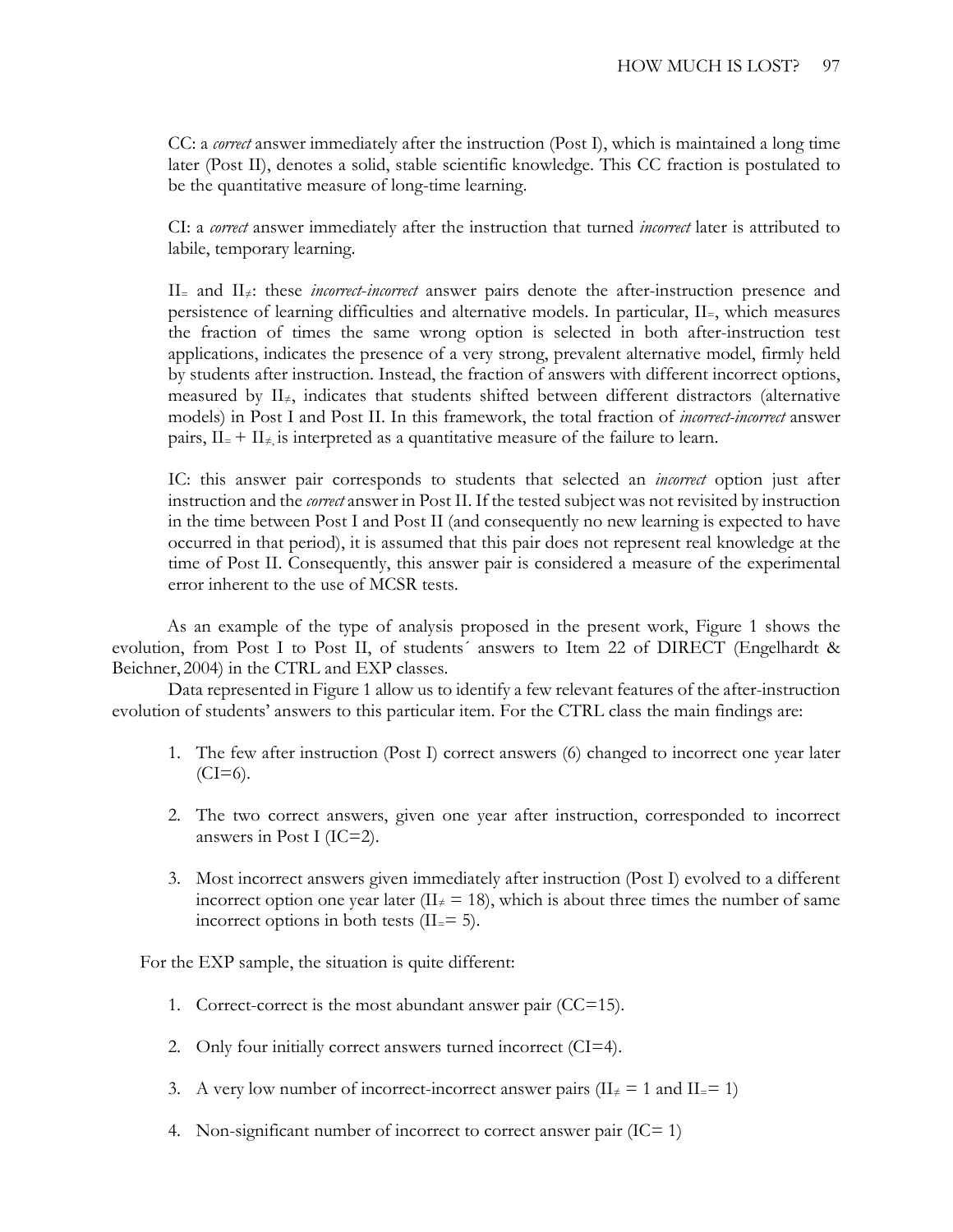CC: a *correct* answer immediately after the instruction (Post I), which is maintained a long time later (Post II), denotes a solid, stable scientific knowledge. This CC fraction is postulated to be the quantitative measure of long-time learning.

CI: a *correct* answer immediately after the instruction that turned *incorrect* later is attributed to labile, temporary learning.

II= and II≠: these *incorrect*-*incorrect* answer pairs denote the after-instruction presence and persistence of learning difficulties and alternative models. In particular, II=, which measures the fraction of times the same wrong option is selected in both after-instruction test applications, indicates the presence of a very strong, prevalent alternative model, firmly held by students after instruction. Instead, the fraction of answers with different incorrect options, measured by  $II_{\neq}$ , indicates that students shifted between different distractors (alternative models) in Post I and Post II. In this framework, the total fraction of *incorrect-incorrect* answer pairs,  $II = + II \neq$  is interpreted as a quantitative measure of the failure to learn.

IC: this answer pair corresponds to students that selected an *incorrect* option just after instruction and the *correct* answer in Post II. If the tested subject was not revisited by instruction in the time between Post I and Post II (and consequently no new learning is expected to have occurred in that period), it is assumed that this pair does not represent real knowledge at the time of Post II. Consequently, this answer pair is considered a measure of the experimental error inherent to the use of MCSR tests.

As an example of the type of analysis proposed in the present work, Figure 1 shows the evolution, from Post I to Post II, of students´ answers to Item 22 of DIRECT (Engelhardt & Beichner, 2004) in the CTRL and EXP classes.

Data represented in Figure 1 allow us to identify a few relevant features of the after-instruction evolution of students' answers to this particular item. For the CTRL class the main findings are:

- 1. The few after instruction (Post I) correct answers (6) changed to incorrect one year later  $(CI=6)$ .
- 2. The two correct answers, given one year after instruction, corresponded to incorrect answers in Post I (IC=2).
- 3. Most incorrect answers given immediately after instruction (Post I) evolved to a different incorrect option one year later ( $II \neq 18$ ), which is about three times the number of same incorrect options in both tests  $(II = 5)$ .

For the EXP sample, the situation is quite different:

- 1. Correct-correct is the most abundant answer pair (CC=15).
- 2. Only four initially correct answers turned incorrect (CI=4).
- 3. A very low number of incorrect-incorrect answer pairs ( $II \neq 1$  and  $II = 1$ )
- 4. Non-significant number of incorrect to correct answer pair  $(IC= 1)$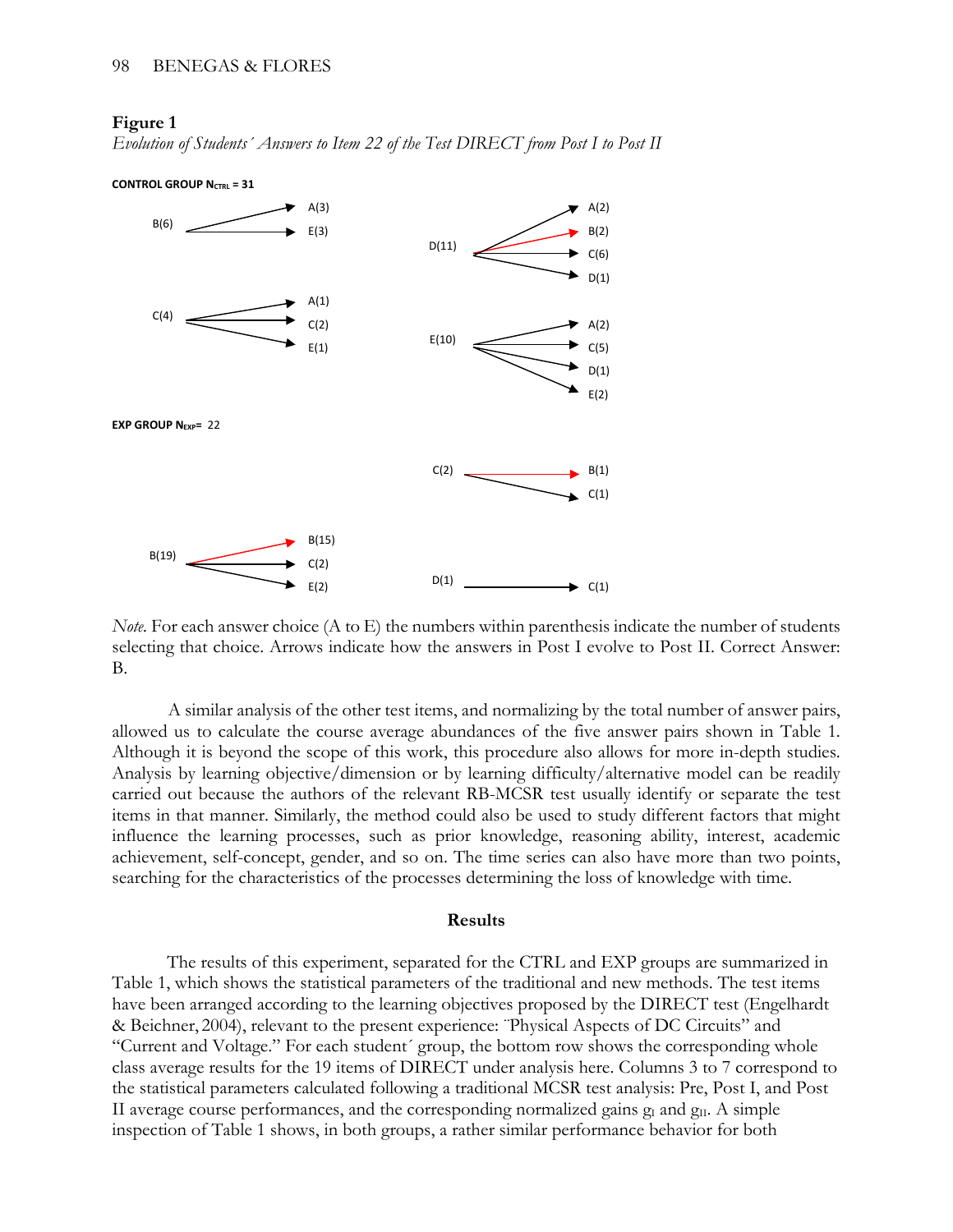#### **Figure 1**

*Evolution of Students´ Answers to Item 22 of the Test DIRECT from Post I to Post II*



*Note.* For each answer choice (A to E) the numbers within parenthesis indicate the number of students selecting that choice. Arrows indicate how the answers in Post I evolve to Post II. Correct Answer: B.

A similar analysis of the other test items, and normalizing by the total number of answer pairs, allowed us to calculate the course average abundances of the five answer pairs shown in Table 1. Although it is beyond the scope of this work, this procedure also allows for more in-depth studies. Analysis by learning objective/dimension or by learning difficulty/alternative model can be readily carried out because the authors of the relevant RB-MCSR test usually identify or separate the test items in that manner. Similarly, the method could also be used to study different factors that might influence the learning processes, such as prior knowledge, reasoning ability, interest, academic achievement, self-concept, gender, and so on. The time series can also have more than two points, searching for the characteristics of the processes determining the loss of knowledge with time.

#### **Results**

The results of this experiment, separated for the CTRL and EXP groups are summarized in Table 1, which shows the statistical parameters of the traditional and new methods. The test items have been arranged according to the learning objectives proposed by the DIRECT test (Engelhardt & Beichner, 2004), relevant to the present experience: ¨Physical Aspects of DC Circuits" and "Current and Voltage." For each student´ group, the bottom row shows the corresponding whole class average results for the 19 items of DIRECT under analysis here. Columns 3 to 7 correspond to the statistical parameters calculated following a traditional MCSR test analysis: Pre, Post I, and Post II average course performances, and the corresponding normalized gains  $g_I$  and  $g_{II}$ . A simple inspection of Table 1 shows, in both groups, a rather similar performance behavior for both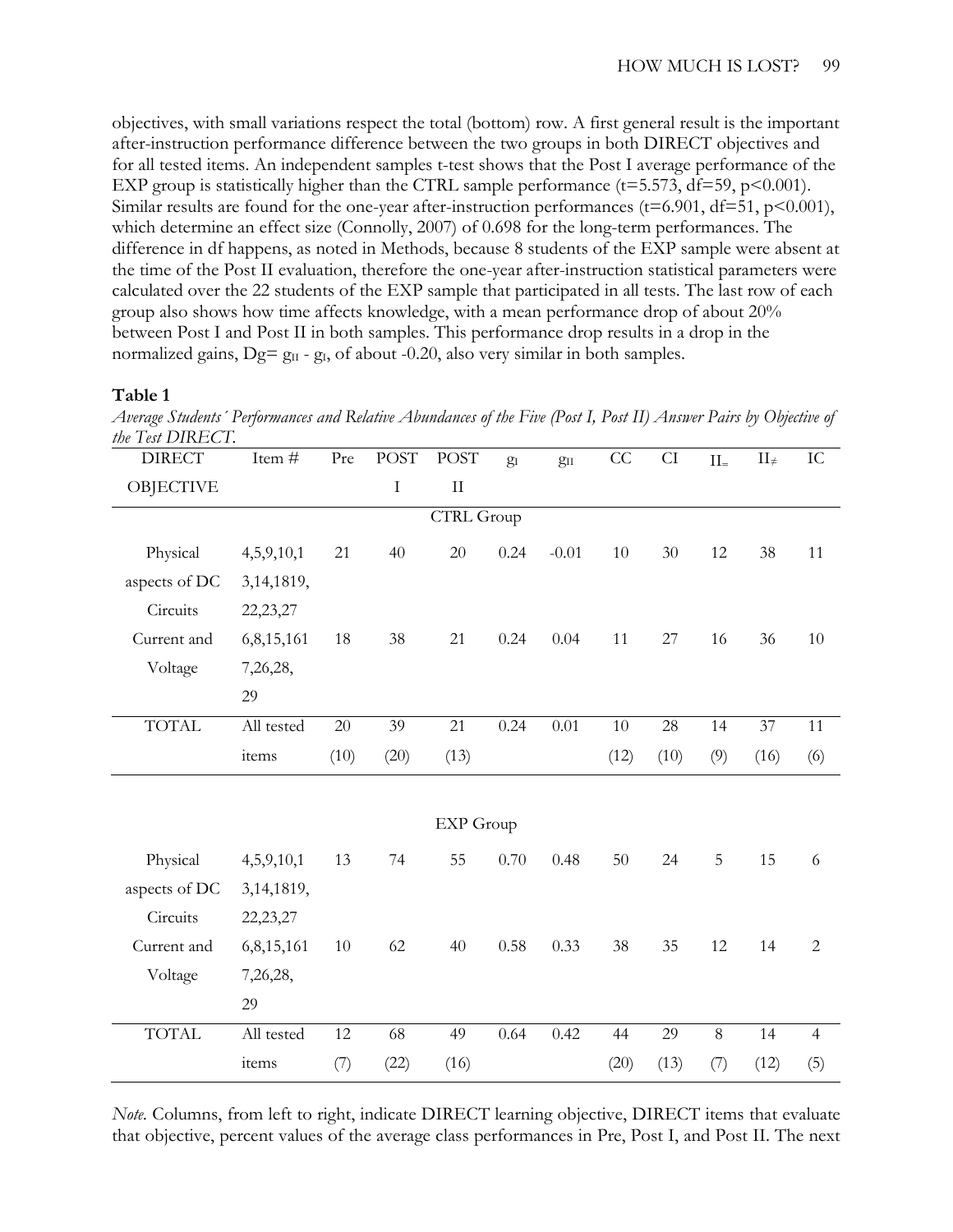objectives, with small variations respect the total (bottom) row. A first general result is the important after-instruction performance difference between the two groups in both DIRECT objectives and for all tested items. An independent samples t-test shows that the Post I average performance of the EXP group is statistically higher than the CTRL sample performance ( $t=5.573$ ,  $df=59$ ,  $p<0.001$ ). Similar results are found for the one-year after-instruction performances ( $t=6.901$ ,  $df=51$ ,  $p<0.001$ ), which determine an effect size (Connolly, 2007) of 0.698 for the long-term performances. The difference in df happens, as noted in Methods, because 8 students of the EXP sample were absent at the time of the Post II evaluation, therefore the one-year after-instruction statistical parameters were calculated over the 22 students of the EXP sample that participated in all tests. The last row of each group also shows how time affects knowledge, with a mean performance drop of about 20% between Post I and Post II in both samples. This performance drop results in a drop in the normalized gains,  $Dg = g_{II} - g_I$ , of about -0.20, also very similar in both samples.

#### **Table 1**

*Average Students´ Performances and Relative Abundances of the Five (Post I, Post II) Answer Pairs by Objective of the Test DIRECT.*

| <b>DIRECT</b>     | Item $\frac{1}{t}$ | Pre  | <b>POST</b> | <b>POST</b> | $g_I$ | $g_{II}$ | CC   | CI   | ${\rm II}$ . | $II_{\neq}$ | ${\rm IC}$     |
|-------------------|--------------------|------|-------------|-------------|-------|----------|------|------|--------------|-------------|----------------|
| <b>OBJECTIVE</b>  |                    |      | $\rm I$     | $\rm II$    |       |          |      |      |              |             |                |
| <b>CTRL Group</b> |                    |      |             |             |       |          |      |      |              |             |                |
| Physical          | 4,5,9,10,1         | 21   | 40          | 20          | 0.24  | $-0.01$  | 10   | 30   | 12           | 38          | 11             |
| aspects of DC     | 3, 14, 1819,       |      |             |             |       |          |      |      |              |             |                |
| Circuits          | 22,23,27           |      |             |             |       |          |      |      |              |             |                |
| Current and       | 6,8,15,161         | 18   | 38          | 21          | 0.24  | 0.04     | 11   | 27   | 16           | 36          | 10             |
| Voltage           | 7,26,28,           |      |             |             |       |          |      |      |              |             |                |
|                   | 29                 |      |             |             |       |          |      |      |              |             |                |
| <b>TOTAL</b>      | All tested         | 20   | 39          | 21          | 0.24  | 0.01     | 10   | 28   | 14           | 37          | 11             |
|                   | items              | (10) | (20)        | (13)        |       |          | (12) | (10) | (9)          | (16)        | (6)            |
|                   |                    |      |             |             |       |          |      |      |              |             |                |
| <b>EXP</b> Group  |                    |      |             |             |       |          |      |      |              |             |                |
| Physical          | 4,5,9,10,1         | 13   | 74          | 55          | 0.70  | 0.48     | 50   | 24   | 5            | 15          | 6              |
| aspects of DC     | 3, 14, 1819,       |      |             |             |       |          |      |      |              |             |                |
| Circuits          | 22,23,27           |      |             |             |       |          |      |      |              |             |                |
| Current and       | 6,8,15,161         | 10   | 62          | 40          | 0.58  | 0.33     | 38   | 35   | 12           | 14          | $\overline{2}$ |
| Voltage           | 7,26,28,           |      |             |             |       |          |      |      |              |             |                |
|                   | 29                 |      |             |             |       |          |      |      |              |             |                |
| <b>TOTAL</b>      | All tested         | 12   | 68          | 49          | 0.64  | 0.42     | 44   | 29   | $8\,$        | 14          | $\overline{4}$ |
|                   | items              | (7)  | (22)        | (16)        |       |          | (20) | (13) | (7)          | (12)        | (5)            |

*Note.* Columns, from left to right, indicate DIRECT learning objective, DIRECT items that evaluate that objective, percent values of the average class performances in Pre, Post I, and Post II. The next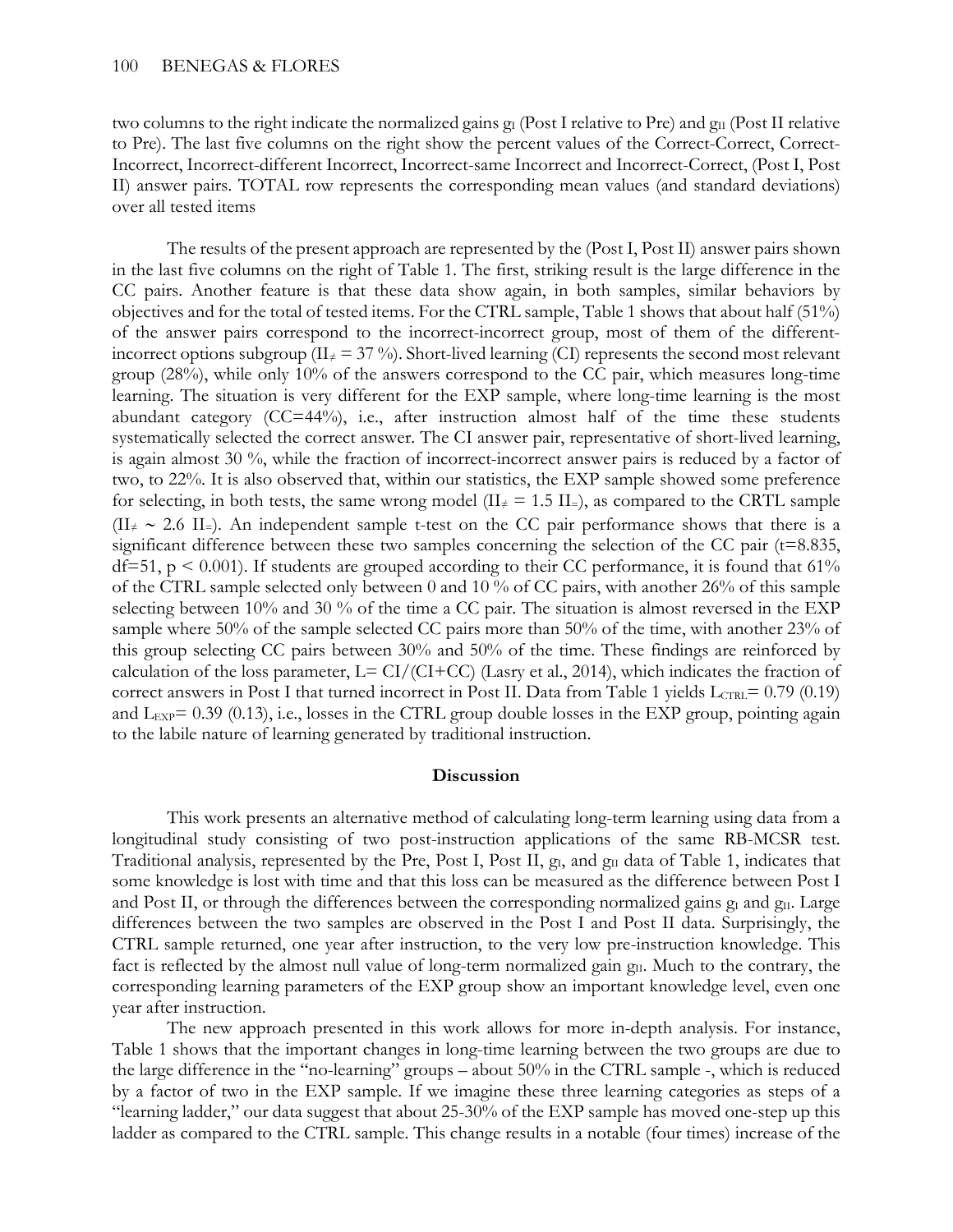two columns to the right indicate the normalized gains  $g_I$  (Post I relative to Pre) and  $g_{II}$  (Post II relative to Pre). The last five columns on the right show the percent values of the Correct-Correct, Correct-Incorrect, Incorrect-different Incorrect, Incorrect-same Incorrect and Incorrect-Correct, (Post I, Post II) answer pairs. TOTAL row represents the corresponding mean values (and standard deviations) over all tested items

The results of the present approach are represented by the (Post I, Post II) answer pairs shown in the last five columns on the right of Table 1. The first, striking result is the large difference in the CC pairs. Another feature is that these data show again, in both samples, similar behaviors by objectives and for the total of tested items. For the CTRL sample, Table 1 shows that about half (51%) of the answer pairs correspond to the incorrect-incorrect group, most of them of the differentincorrect options subgroup ( $II_{\neq}$  = 37 %). Short-lived learning (CI) represents the second most relevant group (28%), while only 10% of the answers correspond to the CC pair, which measures long-time learning. The situation is very different for the EXP sample, where long-time learning is the most abundant category (CC=44%), i.e., after instruction almost half of the time these students systematically selected the correct answer. The CI answer pair, representative of short-lived learning, is again almost 30 %, while the fraction of incorrect-incorrect answer pairs is reduced by a factor of two, to 22%. It is also observed that, within our statistics, the EXP sample showed some preference for selecting, in both tests, the same wrong model ( $II \neq 1.5$  II $=$ ), as compared to the CRTL sample  $(II_{\neq} \sim 2.6 \text{ II}_{=})$ . An independent sample t-test on the CC pair performance shows that there is a significant difference between these two samples concerning the selection of the CC pair  $(t=8.835,$ df=51,  $p \le 0.001$ ). If students are grouped according to their CC performance, it is found that 61% of the CTRL sample selected only between 0 and 10 % of CC pairs, with another 26% of this sample selecting between 10% and 30 % of the time a CC pair. The situation is almost reversed in the EXP sample where 50% of the sample selected CC pairs more than 50% of the time, with another 23% of this group selecting CC pairs between 30% and 50% of the time. These findings are reinforced by calculation of the loss parameter,  $L = CI/(CI+CC)$  (Lasry et al., 2014), which indicates the fraction of correct answers in Post I that turned incorrect in Post II. Data from Table 1 yields  $L_{CTRL} = 0.79$  (0.19) and  $L_{EXP}$ = 0.39 (0.13), i.e., losses in the CTRL group double losses in the EXP group, pointing again to the labile nature of learning generated by traditional instruction.

#### **Discussion**

This work presents an alternative method of calculating long-term learning using data from a longitudinal study consisting of two post-instruction applications of the same RB-MCSR test. Traditional analysis, represented by the Pre, Post I, Post II,  $g<sub>I</sub>$ , and  $g<sub>II</sub>$  data of Table 1, indicates that some knowledge is lost with time and that this loss can be measured as the difference between Post I and Post II, or through the differences between the corresponding normalized gains  $g_I$  and  $g_{II}$ . Large differences between the two samples are observed in the Post I and Post II data. Surprisingly, the CTRL sample returned, one year after instruction, to the very low pre-instruction knowledge. This fact is reflected by the almost null value of long-term normalized gain g<sub>II</sub>. Much to the contrary, the corresponding learning parameters of the EXP group show an important knowledge level, even one year after instruction.

The new approach presented in this work allows for more in-depth analysis. For instance, Table 1 shows that the important changes in long-time learning between the two groups are due to the large difference in the "no-learning" groups – about 50% in the CTRL sample -, which is reduced by a factor of two in the EXP sample. If we imagine these three learning categories as steps of a "learning ladder," our data suggest that about 25-30% of the EXP sample has moved one-step up this ladder as compared to the CTRL sample. This change results in a notable (four times) increase of the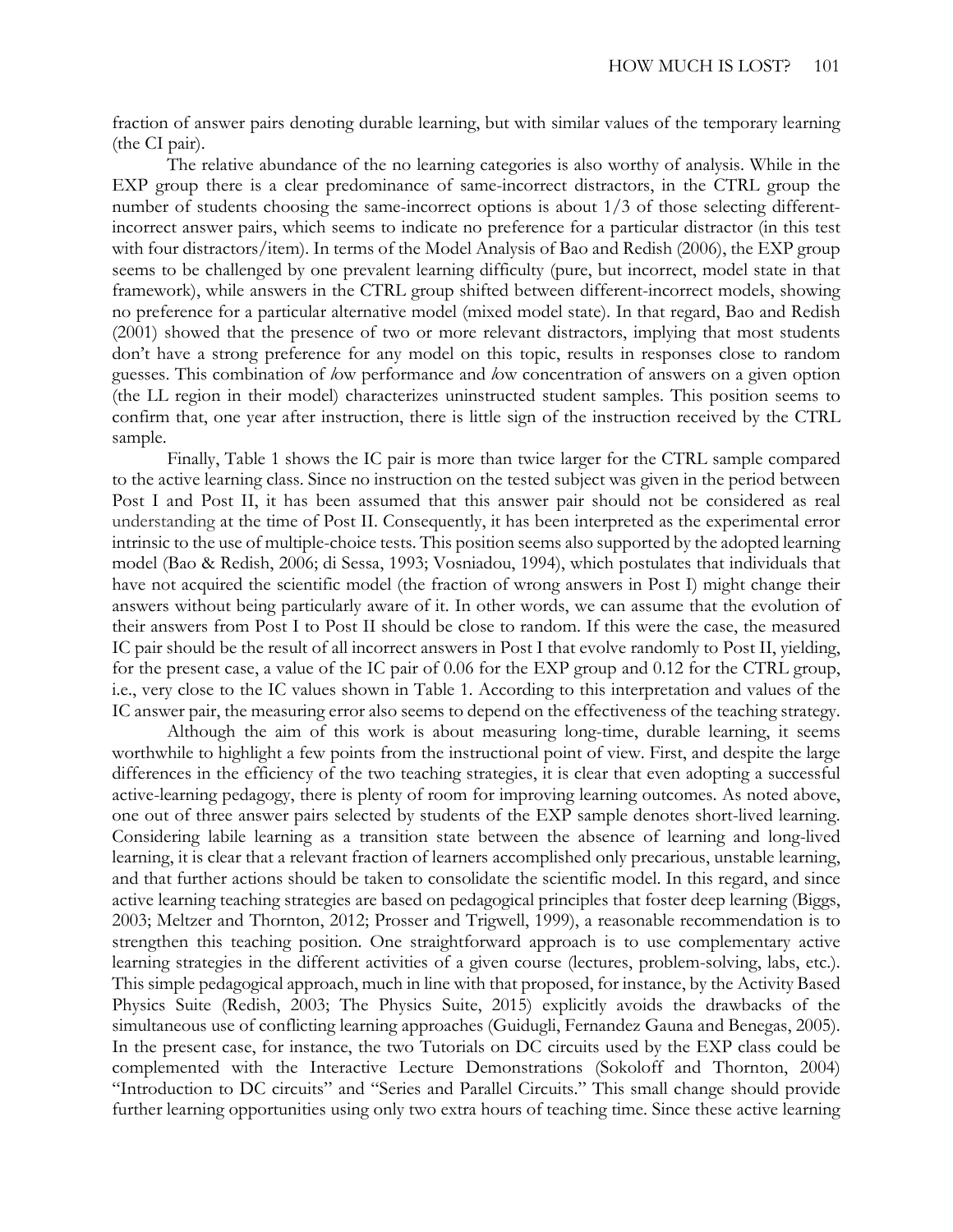fraction of answer pairs denoting durable learning, but with similar values of the temporary learning (the CI pair).

The relative abundance of the no learning categories is also worthy of analysis. While in the EXP group there is a clear predominance of same-incorrect distractors, in the CTRL group the number of students choosing the same-incorrect options is about 1/3 of those selecting differentincorrect answer pairs, which seems to indicate no preference for a particular distractor (in this test with four distractors/item). In terms of the Model Analysis of Bao and Redish (2006), the EXP group seems to be challenged by one prevalent learning difficulty (pure, but incorrect, model state in that framework), while answers in the CTRL group shifted between different-incorrect models, showing no preference for a particular alternative model (mixed model state). In that regard, Bao and Redish (2001) showed that the presence of two or more relevant distractors, implying that most students don't have a strong preference for any model on this topic, results in responses close to random guesses. This combination of *l*ow performance and *l*ow concentration of answers on a given option (the LL region in their model) characterizes uninstructed student samples. This position seems to confirm that, one year after instruction, there is little sign of the instruction received by the CTRL sample.

Finally, Table 1 shows the IC pair is more than twice larger for the CTRL sample compared to the active learning class. Since no instruction on the tested subject was given in the period between Post I and Post II, it has been assumed that this answer pair should not be considered as real understanding at the time of Post II. Consequently, it has been interpreted as the experimental error intrinsic to the use of multiple-choice tests. This position seems also supported by the adopted learning model (Bao & Redish, 2006; di Sessa, 1993; Vosniadou, 1994), which postulates that individuals that have not acquired the scientific model (the fraction of wrong answers in Post I) might change their answers without being particularly aware of it. In other words, we can assume that the evolution of their answers from Post I to Post II should be close to random. If this were the case, the measured IC pair should be the result of all incorrect answers in Post I that evolve randomly to Post II, yielding, for the present case, a value of the IC pair of 0.06 for the EXP group and 0.12 for the CTRL group, i.e., very close to the IC values shown in Table 1. According to this interpretation and values of the IC answer pair, the measuring error also seems to depend on the effectiveness of the teaching strategy.

Although the aim of this work is about measuring long-time, durable learning, it seems worthwhile to highlight a few points from the instructional point of view. First, and despite the large differences in the efficiency of the two teaching strategies, it is clear that even adopting a successful active-learning pedagogy, there is plenty of room for improving learning outcomes. As noted above, one out of three answer pairs selected by students of the EXP sample denotes short-lived learning. Considering labile learning as a transition state between the absence of learning and long-lived learning, it is clear that a relevant fraction of learners accomplished only precarious, unstable learning, and that further actions should be taken to consolidate the scientific model. In this regard, and since active learning teaching strategies are based on pedagogical principles that foster deep learning (Biggs, 2003; Meltzer and Thornton, 2012; Prosser and Trigwell, 1999), a reasonable recommendation is to strengthen this teaching position. One straightforward approach is to use complementary active learning strategies in the different activities of a given course (lectures, problem-solving, labs, etc.). This simple pedagogical approach, much in line with that proposed, for instance, by the Activity Based Physics Suite (Redish, 2003; The Physics Suite, 2015) explicitly avoids the drawbacks of the simultaneous use of conflicting learning approaches (Guidugli, Fernandez Gauna and Benegas, 2005). In the present case, for instance, the two Tutorials on DC circuits used by the EXP class could be complemented with the Interactive Lecture Demonstrations (Sokoloff and Thornton, 2004) "Introduction to DC circuits" and "Series and Parallel Circuits." This small change should provide further learning opportunities using only two extra hours of teaching time. Since these active learning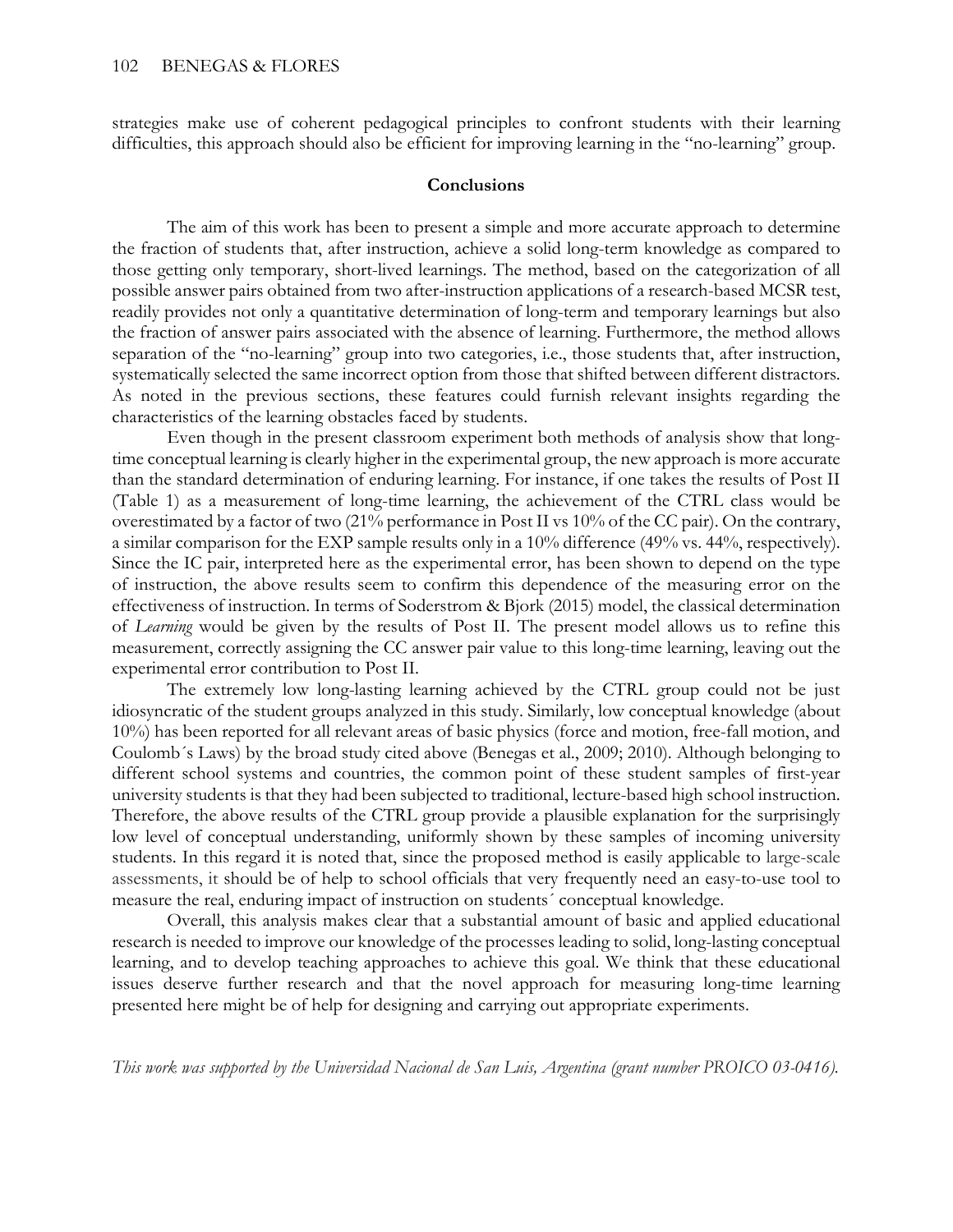strategies make use of coherent pedagogical principles to confront students with their learning difficulties, this approach should also be efficient for improving learning in the "no-learning" group.

#### **Conclusions**

The aim of this work has been to present a simple and more accurate approach to determine the fraction of students that, after instruction, achieve a solid long-term knowledge as compared to those getting only temporary, short-lived learnings. The method, based on the categorization of all possible answer pairs obtained from two after-instruction applications of a research-based MCSR test, readily provides not only a quantitative determination of long-term and temporary learnings but also the fraction of answer pairs associated with the absence of learning. Furthermore, the method allows separation of the "no-learning" group into two categories, i.e., those students that, after instruction, systematically selected the same incorrect option from those that shifted between different distractors. As noted in the previous sections, these features could furnish relevant insights regarding the characteristics of the learning obstacles faced by students.

Even though in the present classroom experiment both methods of analysis show that longtime conceptual learning is clearly higher in the experimental group, the new approach is more accurate than the standard determination of enduring learning. For instance, if one takes the results of Post II (Table 1) as a measurement of long-time learning, the achievement of the CTRL class would be overestimated by a factor of two (21% performance in Post II vs 10% of the CC pair). On the contrary, a similar comparison for the EXP sample results only in a 10% difference (49% vs. 44%, respectively). Since the IC pair, interpreted here as the experimental error, has been shown to depend on the type of instruction, the above results seem to confirm this dependence of the measuring error on the effectiveness of instruction. In terms of Soderstrom & Bjork (2015) model, the classical determination of *Learning* would be given by the results of Post II. The present model allows us to refine this measurement, correctly assigning the CC answer pair value to this long-time learning, leaving out the experimental error contribution to Post II.

The extremely low long-lasting learning achieved by the CTRL group could not be just idiosyncratic of the student groups analyzed in this study. Similarly, low conceptual knowledge (about 10%) has been reported for all relevant areas of basic physics (force and motion, free-fall motion, and Coulomb´s Laws) by the broad study cited above (Benegas et al., 2009; 2010). Although belonging to different school systems and countries, the common point of these student samples of first-year university students is that they had been subjected to traditional, lecture-based high school instruction. Therefore, the above results of the CTRL group provide a plausible explanation for the surprisingly low level of conceptual understanding, uniformly shown by these samples of incoming university students. In this regard it is noted that, since the proposed method is easily applicable to large-scale assessments, it should be of help to school officials that very frequently need an easy-to-use tool to measure the real, enduring impact of instruction on students´ conceptual knowledge.

Overall, this analysis makes clear that a substantial amount of basic and applied educational research is needed to improve our knowledge of the processes leading to solid, long-lasting conceptual learning, and to develop teaching approaches to achieve this goal. We think that these educational issues deserve further research and that the novel approach for measuring long-time learning presented here might be of help for designing and carrying out appropriate experiments.

*This work was supported by the Universidad Nacional de San Luis, Argentina (grant number PROICO 03-0416).*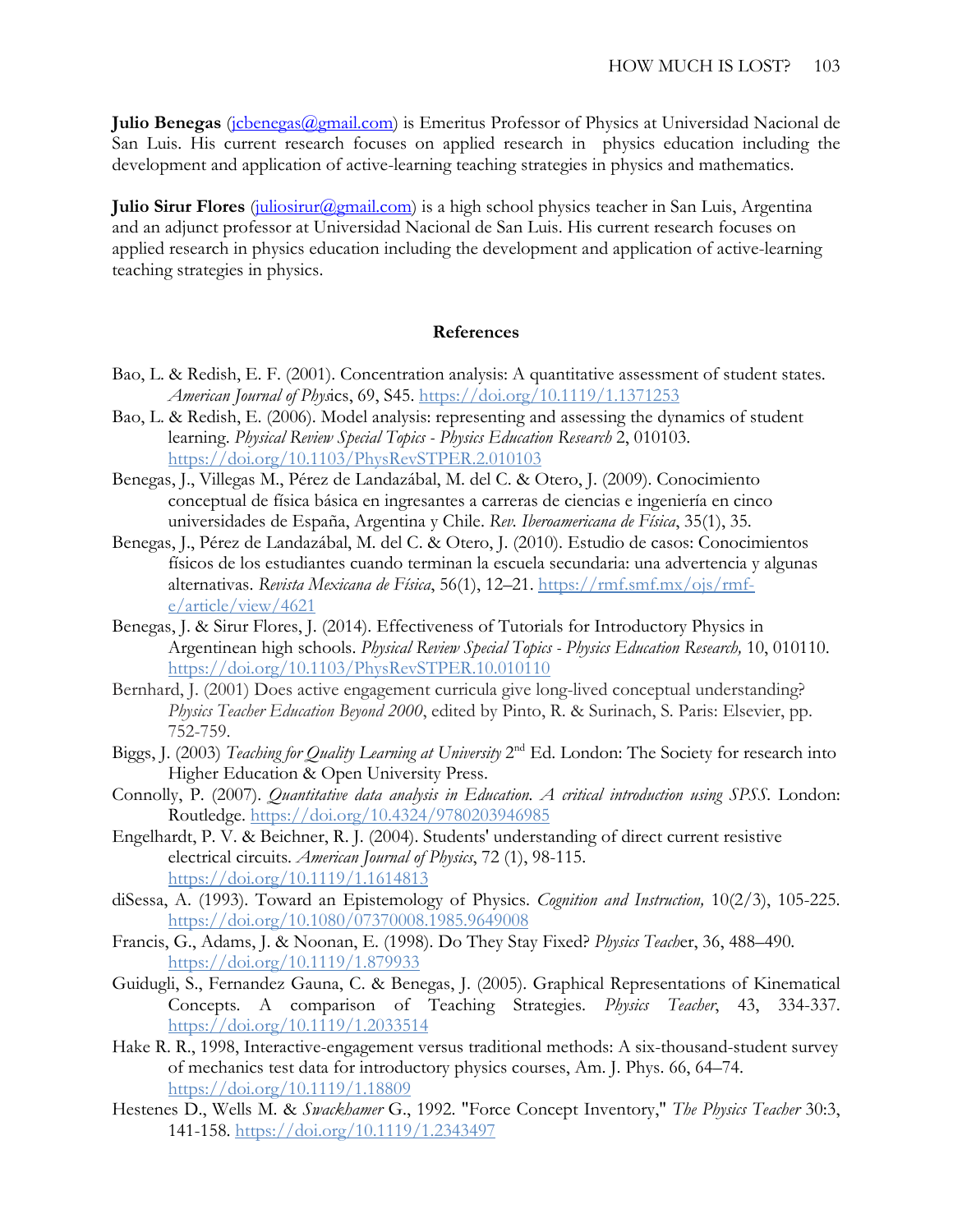Julio Benegas (*jcbenegas@gmail.com*) is Emeritus Professor of Physics at Universidad Nacional de San Luis. His current research focuses on applied research in physics education including the development and application of active-learning teaching strategies in physics and mathematics.

**Julio Sirur Flores** (*juliosirur@gmail.com*) is a high school physics teacher in San Luis, Argentina and an adjunct professor at Universidad Nacional de San Luis. His current research focuses on applied research in physics education including the development and application of active-learning teaching strategies in physics.

#### **References**

- Bao, L. & Redish, E. F. (2001). Concentration analysis: A quantitative assessment of student states. *American Journal of Phys*ics, 69, S45.<https://doi.org/10.1119/1.1371253>
- Bao, L. & Redish, E. (2006). Model analysis: representing and assessing the dynamics of student learning. *Physical Review Special Topics - Physics Education Research* 2, 010103. <https://doi.org/10.1103/PhysRevSTPER.2.010103>
- Benegas, J., Villegas M., Pérez de Landazábal, M. del C. & Otero, J. (2009). Conocimiento conceptual de física básica en ingresantes a carreras de ciencias e ingeniería en cinco universidades de España, Argentina y Chile. *Rev. Iberoamericana de Física*, 35(1), 35.
- Benegas, J., Pérez de Landazábal, M. del C. & Otero, J. (2010). Estudio de casos: Conocimientos físicos de los estudiantes cuando terminan la escuela secundaria: una advertencia y algunas alternativas. *Revista Mexicana de Física*, 56(1), 12–21. [https://rmf.smf.mx/ojs/rmf](https://rmf.smf.mx/ojs/rmf-e/article/view/4621)[e/article/view/4621](https://rmf.smf.mx/ojs/rmf-e/article/view/4621)
- Benegas, J. & Sirur Flores, J. (2014). Effectiveness of Tutorials for Introductory Physics in Argentinean high schools. *Physical Review Special Topics - Physics Education Research,* 10, 010110. <https://doi.org/10.1103/PhysRevSTPER.10.010110>
- Bernhard, J. (2001) Does active engagement curricula give long-lived conceptual understanding? *Physics Teacher Education Beyond 2000*, edited by Pinto, R. & Surinach, S. Paris: Elsevier, pp. 752-759.
- Biggs, J. (2003) *Teaching for Quality Learning at University* 2nd Ed. London: The Society for research into Higher Education & Open University Press.
- Connolly, P. (2007). *Quantitative data analysis in Education. A critical introduction using SPSS.* London: Routledge.<https://doi.org/10.4324/9780203946985>
- Engelhardt, P. V. & Beichner, R. J. (2004). Students' understanding of direct current resistive electrical circuits. *American Journal of Physics*, 72 (1), 98-115. <https://doi.org/10.1119/1.1614813>
- diSessa, A. (1993). Toward an Epistemology of Physics. *Cognition and Instruction,* 10(2/3), 105-225. <https://doi.org/10.1080/07370008.1985.9649008>
- Francis, G., Adams, J. & Noonan, E. (1998). Do They Stay Fixed? *Physics Teach*er, 36, 488–490. <https://doi.org/10.1119/1.879933>
- Guidugli, S., Fernandez Gauna, C. & Benegas, J. (2005). Graphical Representations of Kinematical Concepts. A comparison of Teaching Strategies. *Physics Teacher*, 43, 334-337. <https://doi.org/10.1119/1.2033514>
- Hake R. R., 1998, Interactive-engagement versus traditional methods: A six-thousand-student survey of mechanics test data for introductory physics courses, Am. J. Phys. 66, 64–74. <https://doi.org/10.1119/1.18809>
- Hestenes D., Wells M. & *Swackhamer* G., 1992. "Force Concept Inventory," *The Physics Teacher* 30:3, 141-158.<https://doi.org/10.1119/1.2343497>